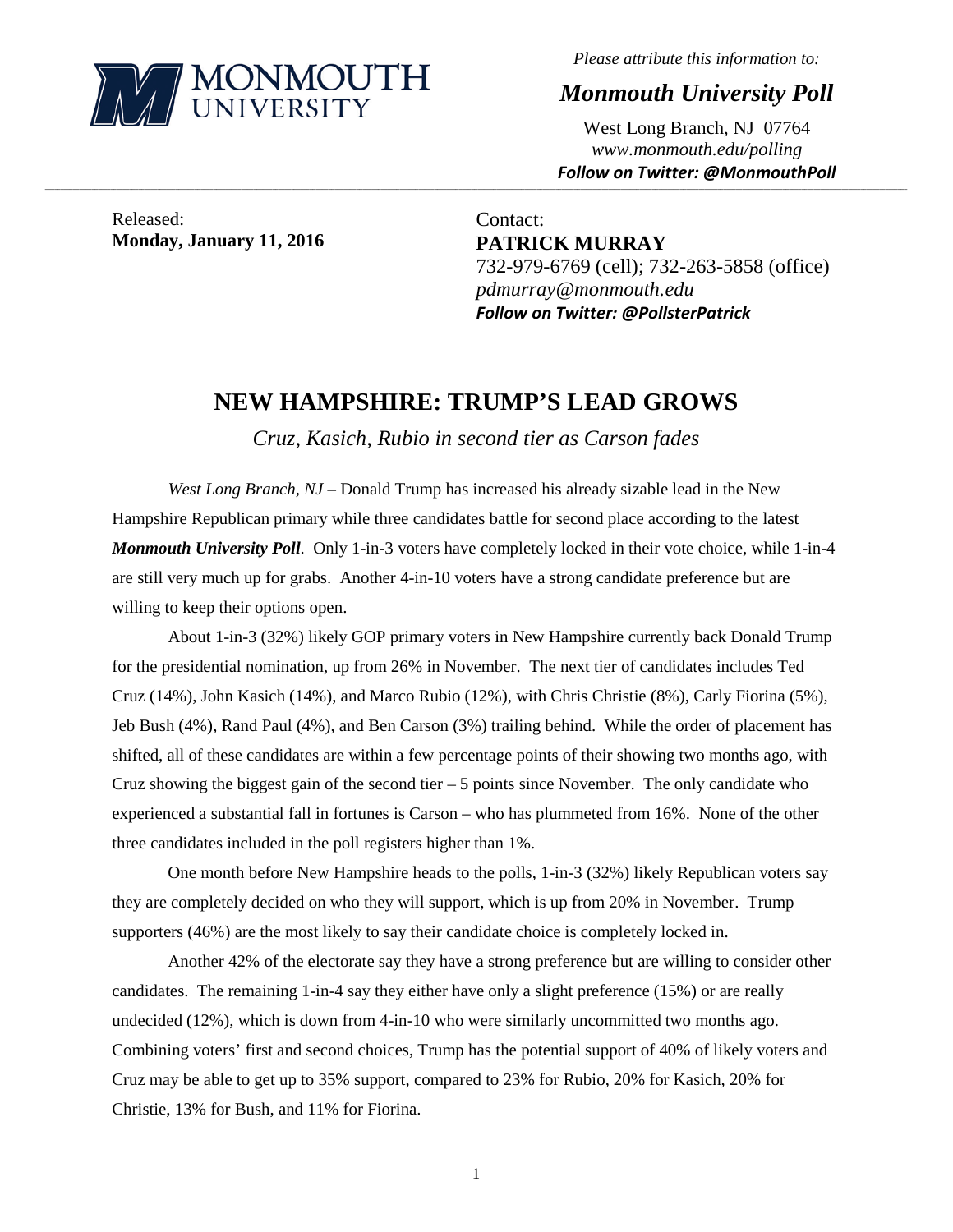

*Please attribute this information to:*

*Monmouth University Poll*

West Long Branch, NJ 07764 *www.monmouth.edu/polling Follow on Twitter: @MonmouthPoll*

Released: **Monday, January 11, 2016**

Contact: **PATRICK MURRAY** 732-979-6769 (cell); 732-263-5858 (office) *pdmurray@monmouth.edu Follow on Twitter: @PollsterPatrick*

## **NEW HAMPSHIRE: TRUMP'S LEAD GROWS**

**\_\_\_\_\_\_\_\_\_\_\_\_\_\_\_\_\_\_\_\_\_\_\_\_\_\_\_\_\_\_\_\_\_\_\_\_\_\_\_\_\_\_\_\_\_\_\_\_\_\_\_\_\_\_\_\_\_\_\_\_\_\_\_\_\_\_\_\_\_\_\_\_\_\_\_\_\_\_\_\_\_\_\_\_\_\_\_\_\_\_\_\_\_\_\_\_\_\_\_\_\_\_\_\_\_\_\_\_\_\_\_\_\_\_\_\_\_\_\_\_\_\_\_\_\_\_\_\_\_\_\_\_\_\_\_\_\_\_\_\_\_\_\_\_\_\_\_\_\_\_\_\_\_\_\_\_\_\_\_\_\_\_\_\_\_\_\_\_\_\_\_\_\_\_\_\_\_\_\_\_\_\_\_\_\_\_\_\_\_\_\_\_\_\_\_\_\_\_\_\_\_\_\_\_\_\_\_\_\_\_\_\_\_\_\_\_\_\_\_\_\_\_\_\_\_\_\_\_\_\_\_\_\_\_\_\_\_\_\_\_\_\_\_\_\_\_\_\_\_\_\_\_\_\_\_\_\_\_\_\_\_\_\_\_\_\_\_\_\_\_\_\_\_\_\_\_\_**

*Cruz, Kasich, Rubio in second tier as Carson fades*

*West Long Branch, NJ* – Donald Trump has increased his already sizable lead in the New Hampshire Republican primary while three candidates battle for second place according to the latest *Monmouth University Poll*. Only 1-in-3 voters have completely locked in their vote choice, while 1-in-4 are still very much up for grabs. Another 4-in-10 voters have a strong candidate preference but are willing to keep their options open.

About 1-in-3 (32%) likely GOP primary voters in New Hampshire currently back Donald Trump for the presidential nomination, up from 26% in November. The next tier of candidates includes Ted Cruz (14%), John Kasich (14%), and Marco Rubio (12%), with Chris Christie (8%), Carly Fiorina (5%), Jeb Bush (4%), Rand Paul (4%), and Ben Carson (3%) trailing behind. While the order of placement has shifted, all of these candidates are within a few percentage points of their showing two months ago, with Cruz showing the biggest gain of the second tier  $-5$  points since November. The only candidate who experienced a substantial fall in fortunes is Carson – who has plummeted from 16%. None of the other three candidates included in the poll registers higher than 1%.

One month before New Hampshire heads to the polls, 1-in-3 (32%) likely Republican voters say they are completely decided on who they will support, which is up from 20% in November. Trump supporters (46%) are the most likely to say their candidate choice is completely locked in.

Another 42% of the electorate say they have a strong preference but are willing to consider other candidates. The remaining 1-in-4 say they either have only a slight preference (15%) or are really undecided (12%), which is down from 4-in-10 who were similarly uncommitted two months ago. Combining voters' first and second choices, Trump has the potential support of 40% of likely voters and Cruz may be able to get up to 35% support, compared to 23% for Rubio, 20% for Kasich, 20% for Christie, 13% for Bush, and 11% for Fiorina.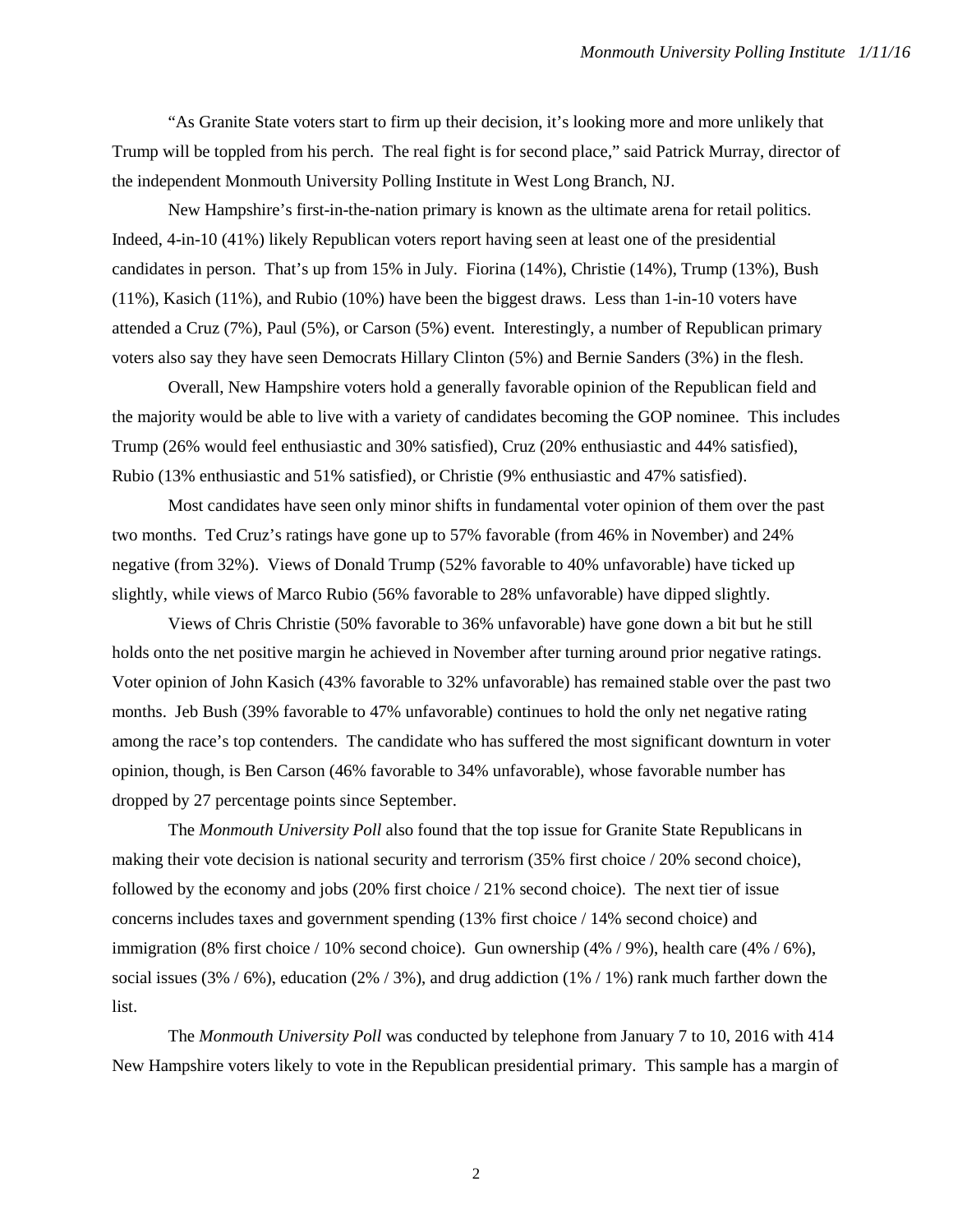"As Granite State voters start to firm up their decision, it's looking more and more unlikely that Trump will be toppled from his perch. The real fight is for second place," said Patrick Murray, director of the independent Monmouth University Polling Institute in West Long Branch, NJ.

New Hampshire's first-in-the-nation primary is known as the ultimate arena for retail politics. Indeed, 4-in-10 (41%) likely Republican voters report having seen at least one of the presidential candidates in person. That's up from 15% in July. Fiorina (14%), Christie (14%), Trump (13%), Bush (11%), Kasich (11%), and Rubio (10%) have been the biggest draws. Less than 1-in-10 voters have attended a Cruz (7%), Paul (5%), or Carson (5%) event. Interestingly, a number of Republican primary voters also say they have seen Democrats Hillary Clinton (5%) and Bernie Sanders (3%) in the flesh.

Overall, New Hampshire voters hold a generally favorable opinion of the Republican field and the majority would be able to live with a variety of candidates becoming the GOP nominee. This includes Trump (26% would feel enthusiastic and 30% satisfied), Cruz (20% enthusiastic and 44% satisfied), Rubio (13% enthusiastic and 51% satisfied), or Christie (9% enthusiastic and 47% satisfied).

Most candidates have seen only minor shifts in fundamental voter opinion of them over the past two months. Ted Cruz's ratings have gone up to 57% favorable (from 46% in November) and 24% negative (from 32%). Views of Donald Trump (52% favorable to 40% unfavorable) have ticked up slightly, while views of Marco Rubio (56% favorable to 28% unfavorable) have dipped slightly.

Views of Chris Christie (50% favorable to 36% unfavorable) have gone down a bit but he still holds onto the net positive margin he achieved in November after turning around prior negative ratings. Voter opinion of John Kasich (43% favorable to 32% unfavorable) has remained stable over the past two months. Jeb Bush (39% favorable to 47% unfavorable) continues to hold the only net negative rating among the race's top contenders. The candidate who has suffered the most significant downturn in voter opinion, though, is Ben Carson (46% favorable to 34% unfavorable), whose favorable number has dropped by 27 percentage points since September.

The *Monmouth University Poll* also found that the top issue for Granite State Republicans in making their vote decision is national security and terrorism (35% first choice / 20% second choice), followed by the economy and jobs (20% first choice / 21% second choice). The next tier of issue concerns includes taxes and government spending (13% first choice / 14% second choice) and immigration (8% first choice / 10% second choice). Gun ownership (4% / 9%), health care (4% / 6%), social issues (3% / 6%), education (2% / 3%), and drug addiction (1% / 1%) rank much farther down the list.

The *Monmouth University Poll* was conducted by telephone from January 7 to 10, 2016 with 414 New Hampshire voters likely to vote in the Republican presidential primary. This sample has a margin of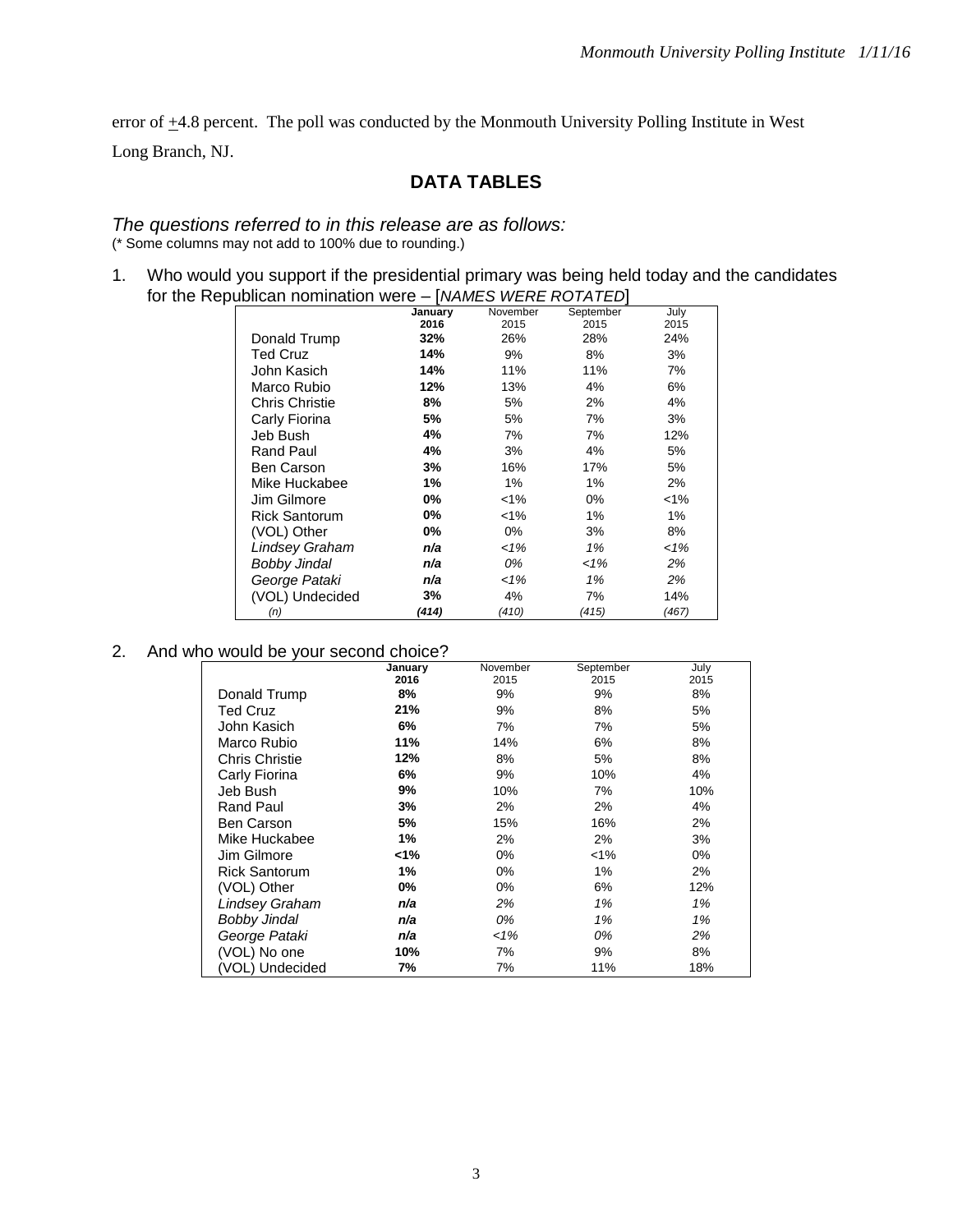error of  $\pm$ 4.8 percent. The poll was conducted by the Monmouth University Polling Institute in West

Long Branch, NJ.

## **DATA TABLES**

*The questions referred to in this release are as follows:* (\* Some columns may not add to 100% due to rounding.)

1. Who would you support if the presidential primary was being held today and the candidates for the Republican nomination were – [*NAMES WERE ROTATED*]

|                       | January | November | September | July    |
|-----------------------|---------|----------|-----------|---------|
|                       | 2016    | 2015     | 2015      | 2015    |
| Donald Trump          | 32%     | 26%      | 28%       | 24%     |
| <b>Ted Cruz</b>       | 14%     | 9%       | 8%        | 3%      |
| John Kasich           | 14%     | 11%      | 11%       | 7%      |
| Marco Rubio           | 12%     | 13%      | 4%        | 6%      |
| <b>Chris Christie</b> | 8%      | 5%       | 2%        | 4%      |
| Carly Fiorina         | 5%      | 5%       | 7%        | 3%      |
| Jeb Bush              | 4%      | 7%       | 7%        | 12%     |
| <b>Rand Paul</b>      | 4%      | 3%       | 4%        | 5%      |
| Ben Carson            | 3%      | 16%      | 17%       | 5%      |
| Mike Huckabee         | 1%      | 1%       | 1%        | 2%      |
| Jim Gilmore           | 0%      | $< 1\%$  | $0\%$     | $< 1\%$ |
| <b>Rick Santorum</b>  | 0%      | $< 1\%$  | 1%        | $1\%$   |
| (VOL) Other           | 0%      | 0%       | 3%        | 8%      |
| Lindsey Graham        | n/a     | 1%       | 1%        | 1%      |
| Bobby Jindal          | n/a     | 0%       | 1%        | 2%      |
| George Pataki         | n/a     | 1%       | 1%        | 2%      |
| (VOL) Undecided       | 3%      | 4%       | 7%        | 14%     |
| (n)                   | (414)   | (410)    | (415)     | (467)   |

## 2. And who would be your second choice?

|                       | January | November | September | July |
|-----------------------|---------|----------|-----------|------|
|                       | 2016    | 2015     | 2015      | 2015 |
| Donald Trump          | 8%      | 9%       | 9%        | 8%   |
| <b>Ted Cruz</b>       | 21%     | 9%       | 8%        | 5%   |
| John Kasich           | 6%      | 7%       | 7%        | 5%   |
| Marco Rubio           | 11%     | 14%      | 6%        | 8%   |
| <b>Chris Christie</b> | 12%     | 8%       | 5%        | 8%   |
| Carly Fiorina         | 6%      | 9%       | 10%       | 4%   |
| Jeb Bush              | 9%      | 10%      | 7%        | 10%  |
| Rand Paul             | 3%      | 2%       | 2%        | 4%   |
| Ben Carson            | 5%      | 15%      | 16%       | 2%   |
| Mike Huckabee         | 1%      | 2%       | 2%        | 3%   |
| Jim Gilmore           | <1%     | $0\%$    | $< 1\%$   | 0%   |
| <b>Rick Santorum</b>  | 1%      | 0%       | 1%        | 2%   |
| (VOL) Other           | 0%      | $0\%$    | 6%        | 12%  |
| Lindsey Graham        | n/a     | 2%       | 1%        | 1%   |
| Bobby Jindal          | n/a     | 0%       | 1%        | 1%   |
| George Pataki         | n/a     | $1\%$    | 0%        | 2%   |
| (VOL) No one          | 10%     | 7%       | 9%        | 8%   |
| (VOL) Undecided       | 7%      | 7%       | 11%       | 18%  |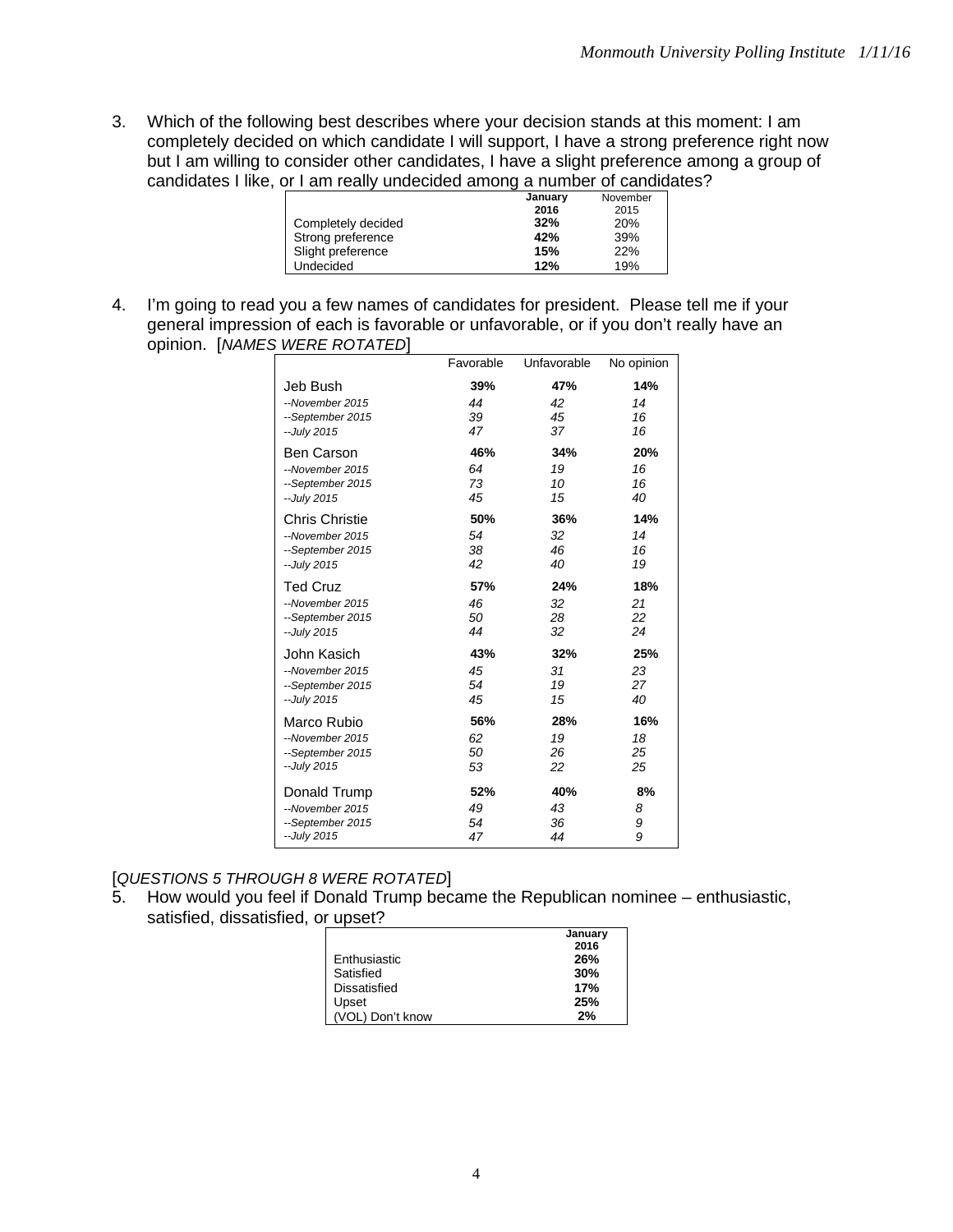3. Which of the following best describes where your decision stands at this moment: I am completely decided on which candidate I will support, I have a strong preference right now but I am willing to consider other candidates, I have a slight preference among a group of candidates I like, or I am really undecided among a number of candidates?

|                    | January | November |
|--------------------|---------|----------|
|                    | 2016    | 2015     |
| Completely decided | 32%     | 20%      |
| Strong preference  | 42%     | 39%      |
| Slight preference  | 15%     | 22%      |
| <b>Undecided</b>   | 12%     | 19%      |

4. I'm going to read you a few names of candidates for president. Please tell me if your general impression of each is favorable or unfavorable, or if you don't really have an opinion. [*NAMES WERE ROTATED*]

| -                     | Favorable | Unfavorable | No opinion |
|-----------------------|-----------|-------------|------------|
| Jeb Bush              | 39%       | 47%         | 14%        |
| --November 2015       | 44        | 42          | 14         |
| --September 2015      | 39        | 45          | 16         |
| -- July 2015          | 47        | 37          | 16         |
| <b>Ben Carson</b>     | 46%       | 34%         | 20%        |
| --November 2015       | 64        | 19          | 16         |
| --September 2015      | 73        | 10          | 16         |
| -- July 2015          | 45        | 15          | 40         |
| <b>Chris Christie</b> | 50%       | 36%         | 14%        |
| --November 2015       | 54        | 32          | 14         |
| --September 2015      | 38        | 46          | 16         |
| -- July 2015          | 42        | 40          | 19         |
| <b>Ted Cruz</b>       | 57%       | 24%         | 18%        |
| --November 2015       | 46        | 32          | 21         |
| --September 2015      | 50        | 28          | 22         |
| -- July 2015          | 44        | 32          | 24         |
| John Kasich           | 43%       | 32%         | 25%        |
| --November 2015       | 45        | 31          | 23         |
| --September 2015      | 54        | 19          | 27         |
| -- July 2015          | 45        | 15          | 40         |
| Marco Rubio           | 56%       | 28%         | 16%        |
| --November 2015       | 62        | 19          | 18         |
| --September 2015      | 50        | 26          | 25         |
| -- July 2015          | 53        | 22          | 25         |
| Donald Trump          | 52%       | 40%         | 8%         |
| --November 2015       | 49        | 43          | 8          |
| --September 2015      | 54        | 36          | 9          |
| -- July 2015          | 47        | 44          | 9          |

[*QUESTIONS 5 THROUGH 8 WERE ROTATED*]

5. How would you feel if Donald Trump became the Republican nominee – enthusiastic, satisfied, dissatisfied, or upset?

|                  | January |
|------------------|---------|
|                  | 2016    |
| Enthusiastic     | 26%     |
| Satisfied        | 30%     |
| Dissatisfied     | 17%     |
| Upset            | 25%     |
| (VOL) Don't know | 2%      |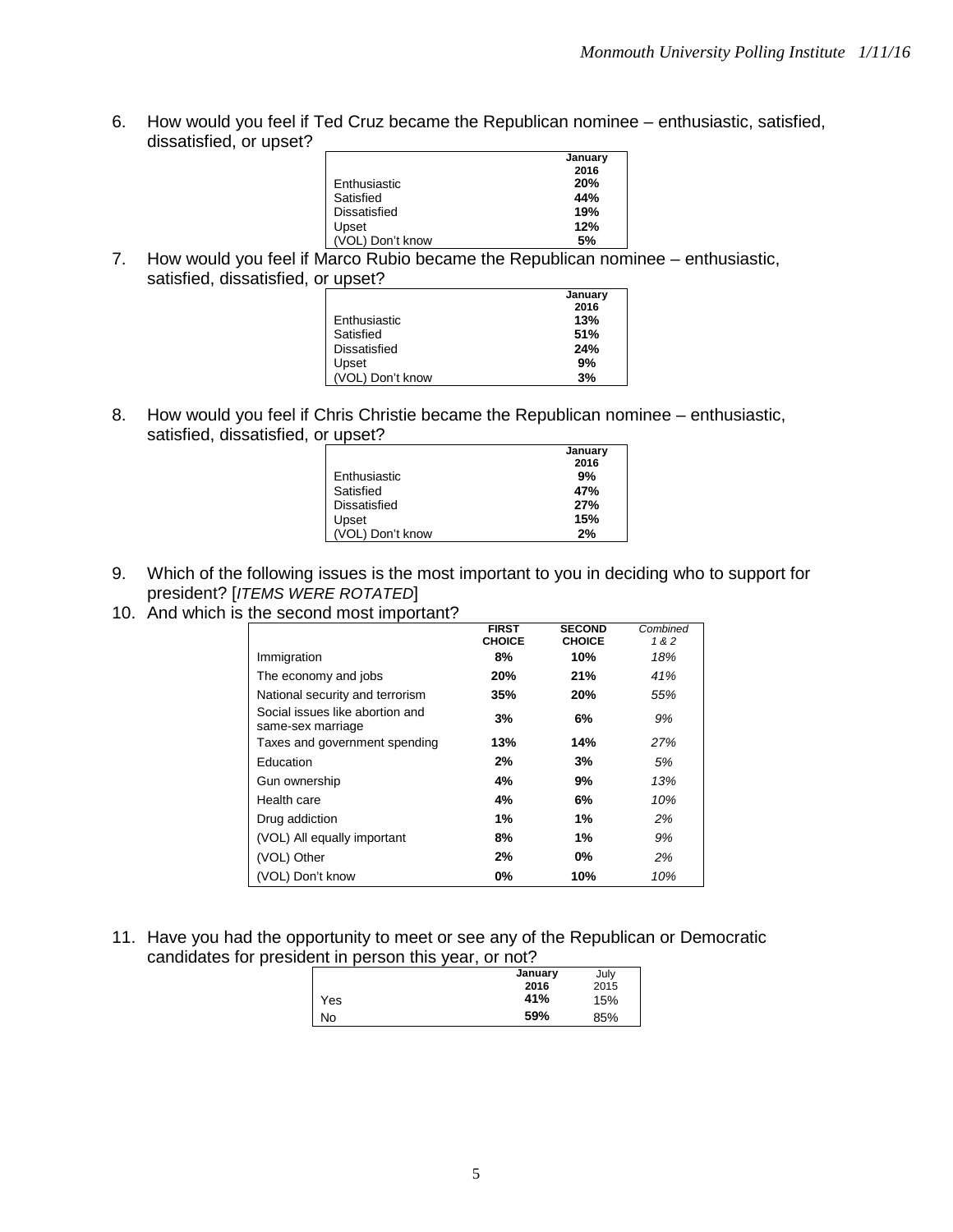6. How would you feel if Ted Cruz became the Republican nominee – enthusiastic, satisfied, dissatisfied, or upset?

|                  | January |
|------------------|---------|
|                  | 2016    |
| Enthusiastic     | 20%     |
| Satisfied        | 44%     |
| Dissatisfied     | 19%     |
| Upset            | 12%     |
| (VOL) Don't know | .5%     |

7. How would you feel if Marco Rubio became the Republican nominee – enthusiastic, satisfied, dissatisfied, or upset?

|                  | January |
|------------------|---------|
|                  | 2016    |
| Enthusiastic     | 13%     |
| Satisfied        | 51%     |
| Dissatisfied     | 24%     |
| Upset            | 9%      |
| (VOL) Don't know | 3%      |
|                  |         |

8. How would you feel if Chris Christie became the Republican nominee – enthusiastic, satisfied, dissatisfied, or upset?

|                     | January |
|---------------------|---------|
|                     | 2016    |
| Enthusiastic        | 9%      |
| Satisfied           | 47%     |
| <b>Dissatisfied</b> | 27%     |
| Upset               | 15%     |
| (VOL) Don't know    | 2%      |

- 9. Which of the following issues is the most important to you in deciding who to support for president? [*ITEMS WERE ROTATED*]
- 10. And which is the second most important?

|                                                      | <b>FIRST</b>  | <b>SECOND</b> | Combined |
|------------------------------------------------------|---------------|---------------|----------|
|                                                      | <b>CHOICE</b> | <b>CHOICE</b> | 1&2      |
| Immigration                                          | 8%            | 10%           | 18%      |
| The economy and jobs                                 | 20%           | 21%           | 41%      |
| National security and terrorism                      | 35%           | 20%           | 55%      |
| Social issues like abortion and<br>same-sex marriage | 3%            | 6%            | 9%       |
| Taxes and government spending                        | 13%           | 14%           | 27%      |
| Education                                            | 2%            | 3%            | 5%       |
| Gun ownership                                        | 4%            | 9%            | 13%      |
| Health care                                          | 4%            | 6%            | 10%      |
| Drug addiction                                       | 1%            | 1%            | 2%       |
| (VOL) All equally important                          | 8%            | 1%            | 9%       |
| (VOL) Other                                          | 2%            | $0\%$         | 2%       |
| (VOL) Don't know                                     | 0%            | 10%           | 10%      |

11. Have you had the opportunity to meet or see any of the Republican or Democratic candidates for president in person this year, or not?

|     | January | July |
|-----|---------|------|
|     | 2016    | 2015 |
| Yes | 41%     | 15%  |
| No  | 59%     | 85%  |